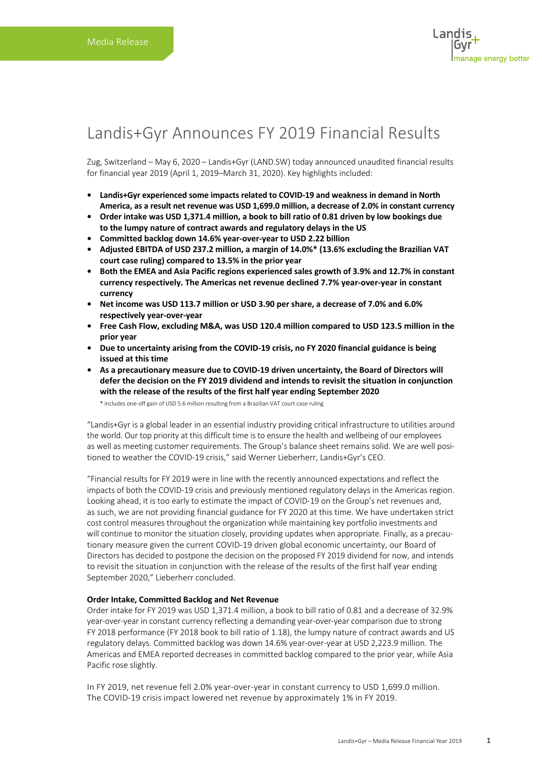### Landis+Gyr Announces FY 2019 Financial Results

Zug, Switzerland – May 6, 2020 – Landis+Gyr (LAND.SW) today announced unaudited financial results for financial year 2019 (April 1, 2019–March 31, 2020). Key highlights included:

- **• Landis+Gyr experienced some impacts related to COVID-19 and weakness in demand in North America, as a result net revenue was USD 1,699.0 million, a decrease of 2.0% in constant currency**
- **• Order intake was USD 1,371.4 million, a book to bill ratio of 0.81 driven by low bookings due to the lumpy nature of contract awards and regulatory delays in the US**
- **• Committed backlog down 14.6% year-over-year to USD 2.22 billion**
- **• Adjusted EBITDA of USD 237.2 million, a margin of 14.0%\* (13.6% excluding the Brazilian VAT court case ruling) compared to 13.5% in the prior year**
- **• Both the EMEA and Asia Pacific regions experienced sales growth of 3.9% and 12.7% in constant currency respectively. The Americas net revenue declined 7.7% year-over-year in constant currency**
- **• Net income was USD 113.7 million or USD 3.90 per share, a decrease of 7.0% and 6.0% respectively year-over-year**
- **• Free Cash Flow, excluding M&A, was USD 120.4 million compared to USD 123.5 million in the prior year**
- **• Due to uncertainty arising from the COVID-19 crisis, no FY 2020 financial guidance is being issued at this time**
- **• As a precautionary measure due to COVID-19 driven uncertainty, the Board of Directors will defer the decision on the FY 2019 dividend and intends to revisit the situation in conjunction with the release of the results of the first half year ending September 2020**

\* includes one-off gain of USD 5.6 million resulting from a Brazilian VAT court case ruling

"Landis+Gyr is a global leader in an essential industry providing critical infrastructure to utilities around the world. Our top priority at this difficult time is to ensure the health and wellbeing of our employees as well as meeting customer requirements. The Group's balance sheet remains solid. We are well positioned to weather the COVID-19 crisis," said Werner Lieberherr, Landis+Gyr's CEO.

"Financial results for FY 2019 were in line with the recently announced expectations and reflect the impacts of both the COVID-19 crisis and previously mentioned regulatory delays in the Americas region. Looking ahead, it is too early to estimate the impact of COVID-19 on the Group's net revenues and, as such, we are not providing financial guidance for FY 2020 at this time. We have undertaken strict cost control measures throughout the organization while maintaining key portfolio investments and will continue to monitor the situation closely, providing updates when appropriate. Finally, as a precautionary measure given the current COVID-19 driven global economic uncertainty, our Board of Directors has decided to postpone the decision on the proposed FY 2019 dividend for now, and intends to revisit the situation in conjunction with the release of the results of the first half year ending September 2020," Lieberherr concluded.

#### **Order Intake, Committed Backlog and Net Revenue**

Order intake for FY 2019 was USD 1,371.4 million, a book to bill ratio of 0.81 and a decrease of 32.9% year-over-year in constant currency reflecting a demanding year-over-year comparison due to strong FY 2018 performance (FY 2018 book to bill ratio of 1.18), the lumpy nature of contract awards and US regulatory delays. Committed backlog was down 14.6% year-over-year at USD 2,223.9 million. The Americas and EMEA reported decreases in committed backlog compared to the prior year, while Asia Pacific rose slightly.

In FY 2019, net revenue fell 2.0% year-over-year in constant currency to USD 1,699.0 million. The COVID-19 crisis impact lowered net revenue by approximately 1% in FY 2019.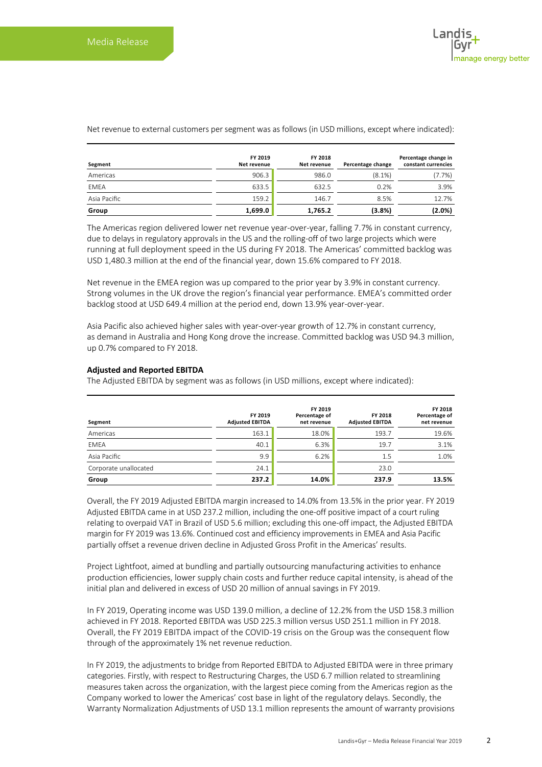| Segment      | FY 2019<br>Net revenue | FY 2018<br>Net revenue | Percentage change | Percentage change in<br>constant currencies |
|--------------|------------------------|------------------------|-------------------|---------------------------------------------|
| Americas     | 906.3                  | 986.0                  | $(8.1\%)$         | (7.7%)                                      |
| EMEA         | 633.5                  | 632.5                  | 0.2%              | 3.9%                                        |
| Asia Pacific | 159.2                  | 146.7                  | 8.5%              | 12.7%                                       |
| Group        | 1,699.0                | 1,765.2                | (3.8%)            | $(2.0\%)$                                   |

Net revenue to external customers per segment was as follows (in USD millions, except where indicated):

The Americas region delivered lower net revenue year-over-year, falling 7.7% in constant currency, due to delays in regulatory approvals in the US and the rolling-off of two large projects which were running at full deployment speed in the US during FY 2018. The Americas' committed backlog was USD 1,480.3 million at the end of the financial year, down 15.6% compared to FY 2018.

Net revenue in the EMEA region was up compared to the prior year by 3.9% in constant currency. Strong volumes in the UK drove the region's financial year performance. EMEA's committed order backlog stood at USD 649.4 million at the period end, down 13.9% year-over-year.

Asia Pacific also achieved higher sales with year-over-year growth of 12.7% in constant currency, as demand in Australia and Hong Kong drove the increase. Committed backlog was USD 94.3 million, up 0.7% compared to FY 2018.

#### **Adjusted and Reported EBITDA**

The Adjusted EBITDA by segment was as follows (in USD millions, except where indicated):

| Segment               | FY 2019<br><b>Adjusted EBITDA</b> | FY 2019<br>Percentage of<br>net revenue | FY 2018<br><b>Adjusted EBITDA</b> | FY 2018<br>Percentage of<br>net revenue |
|-----------------------|-----------------------------------|-----------------------------------------|-----------------------------------|-----------------------------------------|
| Americas              | 163.1                             | 18.0%                                   | 193.7                             | 19.6%                                   |
| <b>EMEA</b>           | 40.1                              | 6.3%                                    | 19.7                              | 3.1%                                    |
| Asia Pacific          | 9.9                               | 6.2%                                    | 1.5                               | 1.0%                                    |
| Corporate unallocated | 24.1                              |                                         | 23.0                              |                                         |
| Group                 | 237.2                             | 14.0%                                   | 237.9                             | 13.5%                                   |

Overall, the FY 2019 Adjusted EBITDA margin increased to 14.0% from 13.5% in the prior year. FY 2019 Adjusted EBITDA came in at USD 237.2 million, including the one-off positive impact of a court ruling relating to overpaid VAT in Brazil of USD 5.6 million; excluding this one-off impact, the Adjusted EBITDA margin for FY 2019 was 13.6%. Continued cost and efficiency improvements in EMEA and Asia Pacific partially offset a revenue driven decline in Adjusted Gross Profit in the Americas' results.

Project Lightfoot, aimed at bundling and partially outsourcing manufacturing activities to enhance production efficiencies, lower supply chain costs and further reduce capital intensity, is ahead of the initial plan and delivered in excess of USD 20 million of annual savings in FY 2019.

In FY 2019, Operating income was USD 139.0 million, a decline of 12.2% from the USD 158.3 million achieved in FY 2018. Reported EBITDA was USD 225.3 million versus USD 251.1 million in FY 2018. Overall, the FY 2019 EBITDA impact of the COVID-19 crisis on the Group was the consequent flow through of the approximately 1% net revenue reduction.

In FY 2019, the adjustments to bridge from Reported EBITDA to Adjusted EBITDA were in three primary categories. Firstly, with respect to Restructuring Charges, the USD 6.7 million related to streamlining measures taken across the organization, with the largest piece coming from the Americas region as the Company worked to lower the Americas' cost base in light of the regulatory delays. Secondly, the Warranty Normalization Adjustments of USD 13.1 million represents the amount of warranty provisions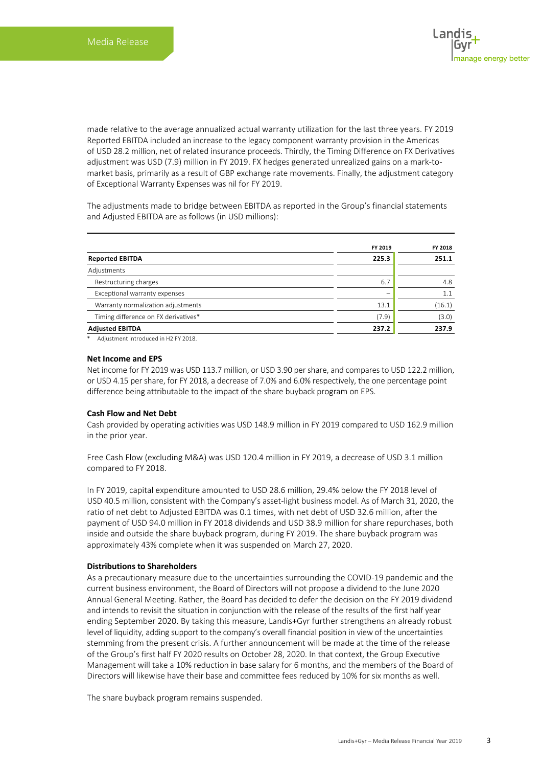made relative to the average annualized actual warranty utilization for the last three years. FY 2019 Reported EBITDA included an increase to the legacy component warranty provision in the Americas of USD 28.2 million, net of related insurance proceeds. Thirdly, the Timing Difference on FX Derivatives adjustment was USD (7.9) million in FY 2019. FX hedges generated unrealized gains on a mark-tomarket basis, primarily as a result of GBP exchange rate movements. Finally, the adjustment category of Exceptional Warranty Expenses was nil for FY 2019.

The adjustments made to bridge between EBITDA as reported in the Group's financial statements and Adjusted EBITDA are as follows (in USD millions):

|                                      | FY 2019 | FY 2018 |
|--------------------------------------|---------|---------|
| <b>Reported EBITDA</b>               | 225.3   | 251.1   |
| Adjustments                          |         |         |
| Restructuring charges                | 6.7     | 4.8     |
| Exceptional warranty expenses        |         | 1.1     |
| Warranty normalization adjustments   | 13.1    | (16.1)  |
| Timing difference on FX derivatives* | (7.9)   | (3.0)   |
| <b>Adjusted EBITDA</b>               | 237.2   | 237.9   |

\* Adjustment introduced in H2 FY 2018.

#### **Net Income and EPS**

Net income for FY 2019 was USD 113.7 million, or USD 3.90 per share, and compares to USD 122.2 million, or USD 4.15 per share, for FY 2018, a decrease of 7.0% and 6.0% respectively, the one percentage point difference being attributable to the impact of the share buyback program on EPS.

#### **Cash Flow and Net Debt**

Cash provided by operating activities was USD 148.9 million in FY 2019 compared to USD 162.9 million in the prior year.

Free Cash Flow (excluding M&A) was USD 120.4 million in FY 2019, a decrease of USD 3.1 million compared to FY 2018.

In FY 2019, capital expenditure amounted to USD 28.6 million, 29.4% below the FY 2018 level of USD 40.5 million, consistent with the Company's asset-light business model. As of March 31, 2020, the ratio of net debt to Adjusted EBITDA was 0.1 times, with net debt of USD 32.6 million, after the payment of USD 94.0 million in FY 2018 dividends and USD 38.9 million for share repurchases, both inside and outside the share buyback program, during FY 2019. The share buyback program was approximately 43% complete when it was suspended on March 27, 2020.

#### **Distributions to Shareholders**

As a precautionary measure due to the uncertainties surrounding the COVID-19 pandemic and the current business environment, the Board of Directors will not propose a dividend to the June 2020 Annual General Meeting. Rather, the Board has decided to defer the decision on the FY 2019 dividend and intends to revisit the situation in conjunction with the release of the results of the first half year ending September 2020. By taking this measure, Landis+Gyr further strengthens an already robust level of liquidity, adding support to the company's overall financial position in view of the uncertainties stemming from the present crisis. A further announcement will be made at the time of the release of the Group's first half FY 2020 results on October 28, 2020. In that context, the Group Executive Management will take a 10% reduction in base salary for 6 months, and the members of the Board of Directors will likewise have their base and committee fees reduced by 10% for six months as well.

The share buyback program remains suspended.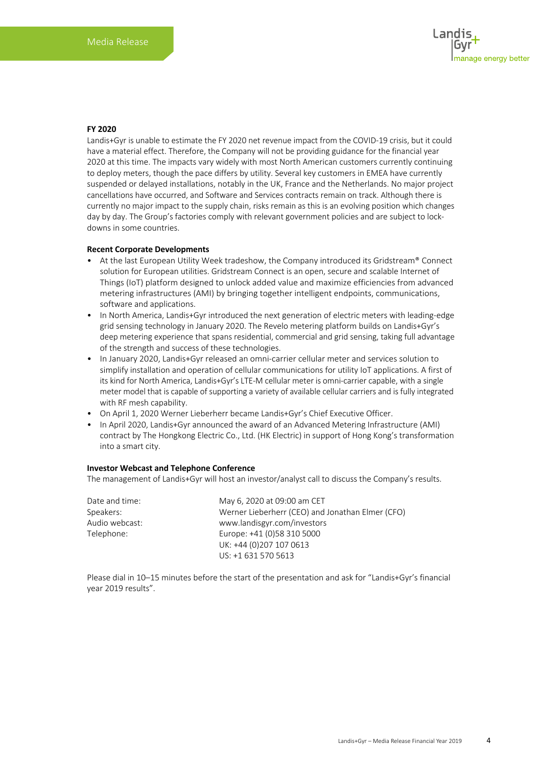#### **FY 2020**

Landis+Gyr is unable to estimate the FY 2020 net revenue impact from the COVID-19 crisis, but it could have a material effect. Therefore, the Company will not be providing guidance for the financial year 2020 at this time. The impacts vary widely with most North American customers currently continuing to deploy meters, though the pace differs by utility. Several key customers in EMEA have currently suspended or delayed installations, notably in the UK, France and the Netherlands. No major project cancellations have occurred, and Software and Services contracts remain on track. Although there is currently no major impact to the supply chain, risks remain as this is an evolving position which changes day by day. The Group's factories comply with relevant government policies and are subject to lockdowns in some countries.

#### **Recent Corporate Developments**

- At the last European Utility Week tradeshow, the Company introduced its Gridstream® Connect solution for European utilities. Gridstream Connect is an open, secure and scalable Internet of Things (IoT) platform designed to unlock added value and maximize efficiencies from advanced metering infrastructures (AMI) by bringing together intelligent endpoints, communications, software and applications.
- In North America, Landis+Gyr introduced the next generation of electric meters with leading-edge grid sensing technology in January 2020. The Revelo metering platform builds on Landis+Gyr's deep metering experience that spans residential, commercial and grid sensing, taking full advantage of the strength and success of these technologies.
- In January 2020, Landis+Gyr released an omni-carrier cellular meter and services solution to simplify installation and operation of cellular communications for utility IoT applications. A first of its kind for North America, Landis+Gyr's LTE-M cellular meter is omni-carrier capable, with a single meter model that is capable of supporting a variety of available cellular carriers and is fully integrated with RF mesh capability.
- On April 1, 2020 Werner Lieberherr became Landis+Gyr's Chief Executive Officer.
- In April 2020, Landis+Gyr announced the award of an Advanced Metering Infrastructure (AMI) contract by The Hongkong Electric Co., Ltd. (HK Electric) in support of Hong Kong's transformation into a smart city.

#### **Investor Webcast and Telephone Conference**

The management of Landis+Gyr will host an investor/analyst call to discuss the Company's results.

| Date and time: | May 6, 2020 at 09:00 am CET                      |
|----------------|--------------------------------------------------|
| Speakers:      | Werner Lieberherr (CEO) and Jonathan Elmer (CFO) |
| Audio webcast: | www.landisgyr.com/investors                      |
| Telephone:     | Europe: +41 (0)58 310 5000                       |
|                | UK: +44 (0)207 107 0613                          |
|                | US: +1 631 570 5613                              |

Please dial in 10–15 minutes before the start of the presentation and ask for "Landis+Gyr's financial year 2019 results".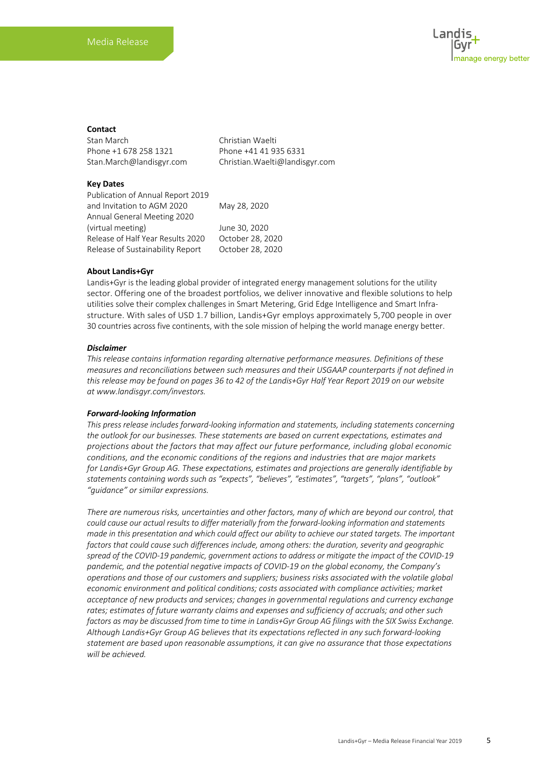#### **Contact**

Stan March Christian Waelti Phone +1 678 258 1321 Phone +41 41 935 6331 Stan.March@landisgyr.com Christian.Waelti@landisgyr.com

#### **Key Dates**

Publication of Annual Report 2019 and Invitation to AGM 2020 May 28, 2020 Annual General Meeting 2020 (virtual meeting) June 30, 2020 Release of Half Year Results 2020 October 28, 2020 Release of Sustainability Report October 28, 2020

#### **About Landis+Gyr**

Landis+Gyr is the leading global provider of integrated energy management solutions for the utility sector. Offering one of the broadest portfolios, we deliver innovative and flexible solutions to help utilities solve their complex challenges in Smart Metering, Grid Edge Intelligence and Smart Infrastructure. With sales of USD 1.7 billion, Landis+Gyr employs approximately 5,700 people in over 30 countries across five continents, with the sole mission of helping the world manage energy better.

#### *Disclaimer*

*This release contains information regarding alternative performance measures. Definitions of these measures and reconciliations between such measures and their USGAAP counterparts if not defined in this release may be found on pages 36 to 42 of the Landis+Gyr Half Year Report 2019 on our website at www.landisgyr.com/investors.*

#### *Forward-looking Information*

*This press release includes forward-looking information and statements, including statements concerning the outlook for our businesses. These statements are based on current expectations, estimates and projections about the factors that may affect our future performance, including global economic conditions, and the economic conditions of the regions and industries that are major markets for Landis+Gyr Group AG. These expectations, estimates and projections are generally identifiable by statements containing words such as "expects", "believes", "estimates", "targets", "plans", "outlook" "guidance" or similar expressions.*

*There are numerous risks, uncertainties and other factors, many of which are beyond our control, that could cause our actual results to differ materially from the forward-looking information and statements made in this presentation and which could affect our ability to achieve our stated targets. The important factors that could cause such differences include, among others: the duration, severity and geographic spread of the COVID-19 pandemic, government actions to address or mitigate the impact of the COVID-19 pandemic, and the potential negative impacts of COVID-19 on the global economy, the Company's operations and those of our customers and suppliers; business risks associated with the volatile global economic environment and political conditions; costs associated with compliance activities; market acceptance of new products and services; changes in governmental regulations and currency exchange rates; estimates of future warranty claims and expenses and sufficiency of accruals; and other such factors as may be discussed from time to time in Landis+Gyr Group AG filings with the SIX Swiss Exchange. Although Landis+Gyr Group AG believes that its expectations reflected in any such forward-looking statement are based upon reasonable assumptions, it can give no assurance that those expectations will be achieved.*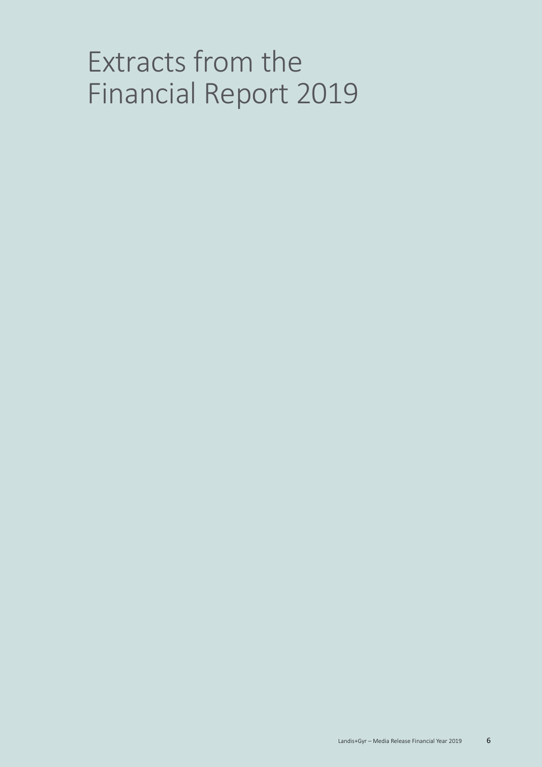# Extracts from the Financial Report 2019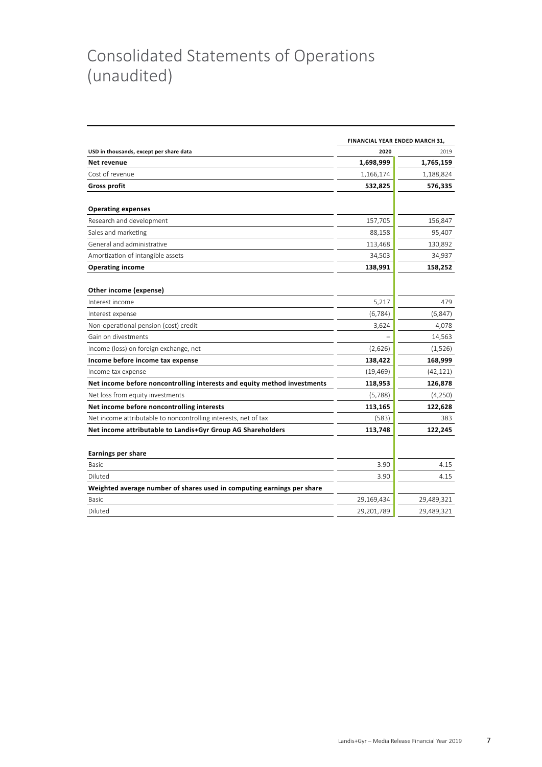## Consolidated Statements of Operations (unaudited)

|                                                                          | FINANCIAL YEAR ENDED MARCH 31, |            |
|--------------------------------------------------------------------------|--------------------------------|------------|
| USD in thousands, except per share data                                  | 2020                           | 2019       |
| Net revenue                                                              | 1,698,999                      | 1,765,159  |
| Cost of revenue                                                          | 1,166,174                      | 1,188,824  |
| <b>Gross profit</b>                                                      | 532,825                        | 576,335    |
| <b>Operating expenses</b>                                                |                                |            |
| Research and development                                                 | 157,705                        | 156,847    |
| Sales and marketing                                                      | 88,158                         | 95,407     |
| General and administrative                                               | 113,468                        | 130,892    |
| Amortization of intangible assets                                        | 34,503                         | 34,937     |
| <b>Operating income</b>                                                  | 138,991                        | 158,252    |
| Other income (expense)                                                   |                                |            |
| Interest income                                                          | 5,217                          | 479        |
| Interest expense                                                         | (6, 784)                       | (6, 847)   |
| Non-operational pension (cost) credit                                    | 3,624                          | 4,078      |
| Gain on divestments                                                      |                                | 14,563     |
| Income (loss) on foreign exchange, net                                   | (2,626)                        | (1,526)    |
| Income before income tax expense                                         | 138,422                        | 168,999    |
| Income tax expense                                                       | (19, 469)                      | (42, 121)  |
| Net income before noncontrolling interests and equity method investments | 118,953                        | 126,878    |
| Net loss from equity investments                                         | (5,788)                        | (4,250)    |
| Net income before noncontrolling interests                               | 113,165                        | 122,628    |
| Net income attributable to noncontrolling interests, net of tax          | (583)                          | 383        |
| Net income attributable to Landis+Gyr Group AG Shareholders              | 113,748                        | 122,245    |
|                                                                          |                                |            |
| <b>Earnings per share</b>                                                |                                |            |
| Basic                                                                    | 3.90                           | 4.15       |
| Diluted                                                                  | 3.90                           | 4.15       |
| Weighted average number of shares used in computing earnings per share   |                                |            |
| Basic                                                                    | 29,169,434                     | 29,489,321 |
| Diluted                                                                  | 29,201,789                     | 29,489,321 |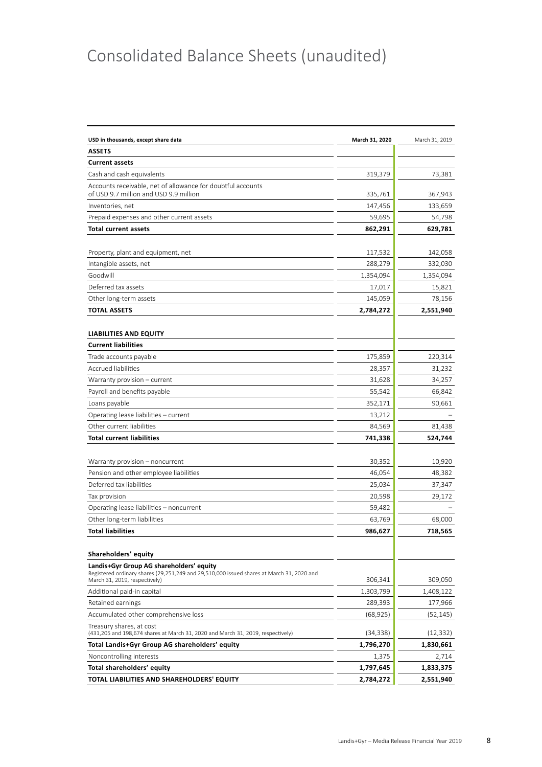## Consolidated Balance Sheets (unaudited)

| USD in thousands, except share data                                                                                        | March 31, 2020 | March 31, 2019 |
|----------------------------------------------------------------------------------------------------------------------------|----------------|----------------|
| <b>ASSETS</b>                                                                                                              |                |                |
| <b>Current assets</b>                                                                                                      |                |                |
| Cash and cash equivalents                                                                                                  | 319,379        | 73,381         |
| Accounts receivable, net of allowance for doubtful accounts<br>of USD 9.7 million and USD 9.9 million                      | 335,761        | 367,943        |
| Inventories, net                                                                                                           | 147,456        | 133,659        |
| Prepaid expenses and other current assets                                                                                  | 59,695         | 54,798         |
| <b>Total current assets</b>                                                                                                | 862,291        | 629,781        |
|                                                                                                                            |                |                |
| Property, plant and equipment, net                                                                                         | 117,532        | 142,058        |
| Intangible assets, net                                                                                                     | 288,279        | 332,030        |
| Goodwill                                                                                                                   | 1,354,094      | 1,354,094      |
| Deferred tax assets                                                                                                        | 17,017         | 15,821         |
| Other long-term assets                                                                                                     | 145,059        | 78,156         |
| <b>TOTAL ASSETS</b>                                                                                                        | 2,784,272      | 2,551,940      |
|                                                                                                                            |                |                |
| <b>LIABILITIES AND EQUITY</b>                                                                                              |                |                |
| <b>Current liabilities</b>                                                                                                 |                |                |
| Trade accounts payable                                                                                                     | 175,859        | 220,314        |
| <b>Accrued liabilities</b>                                                                                                 | 28,357         | 31,232         |
| Warranty provision - current                                                                                               | 31,628         | 34,257         |
| Payroll and benefits payable                                                                                               | 55,542         | 66,842         |
| Loans payable                                                                                                              | 352,171        | 90,661         |
| Operating lease liabilities - current                                                                                      | 13,212         |                |
| Other current liabilities                                                                                                  | 84,569         | 81,438         |
| <b>Total current liabilities</b>                                                                                           | 741,338        | 524,744        |
|                                                                                                                            |                |                |
| Warranty provision – noncurrent                                                                                            | 30,352         | 10,920         |
| Pension and other employee liabilities                                                                                     | 46,054         | 48,382         |
| Deferred tax liabilities                                                                                                   | 25,034         | 37,347         |
| Tax provision                                                                                                              | 20,598         | 29,172         |
| Operating lease liabilities - noncurrent                                                                                   | 59,482         |                |
| Other long-term liabilities                                                                                                | 63,769         | 68,000         |
| <b>Total liabilities</b>                                                                                                   | 986,627        | 718,565        |
| Shareholders' equity                                                                                                       |                |                |
| Landis+Gyr Group AG shareholders' equity                                                                                   |                |                |
| Registered ordinary shares (29,251,249 and 29,510,000 issued shares at March 31, 2020 and<br>March 31, 2019, respectively) | 306,341        | 309,050        |
| Additional paid-in capital                                                                                                 | 1,303,799      | 1,408,122      |
| Retained earnings                                                                                                          | 289,393        | 177,966        |
| Accumulated other comprehensive loss                                                                                       | (68, 925)      | (52, 145)      |
| Treasury shares, at cost<br>(431,205 and 198,674 shares at March 31, 2020 and March 31, 2019, respectively)                | (34, 338)      | (12, 332)      |
| Total Landis+Gyr Group AG shareholders' equity                                                                             | 1,796,270      | 1,830,661      |
| Noncontrolling interests                                                                                                   | 1,375          | 2,714          |
| Total shareholders' equity                                                                                                 | 1,797,645      | 1,833,375      |
| TOTAL LIABILITIES AND SHAREHOLDERS' EQUITY                                                                                 | 2,784,272      | 2,551,940      |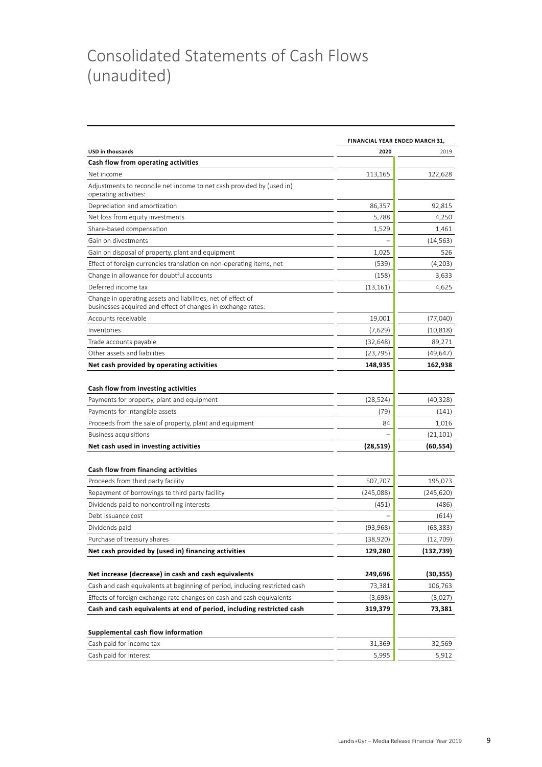## Consolidated Statements of Cash Flows (unaudited)

|                                                                                                                              | FINANCIAL YEAR ENDED MARCH 31, |                    |  |  |
|------------------------------------------------------------------------------------------------------------------------------|--------------------------------|--------------------|--|--|
| <b>USD in thousands</b>                                                                                                      | 2020                           | 2019               |  |  |
| Cash flow from operating activities                                                                                          |                                |                    |  |  |
| Net income                                                                                                                   | 113,165                        | 122,628            |  |  |
| Adjustments to reconcile net income to net cash provided by (used in)<br>operating activities:                               |                                |                    |  |  |
| Depreciation and amortization                                                                                                | 86,357                         | 92,815             |  |  |
| Net loss from equity investments                                                                                             | 5,788                          | 4,250              |  |  |
| Share-based compensation                                                                                                     | 1,529                          | 1,461              |  |  |
| Gain on divestments                                                                                                          |                                | (14, 563)          |  |  |
| Gain on disposal of property, plant and equipment                                                                            | 1,025                          | 526                |  |  |
| Effect of foreign currencies translation on non-operating items, net                                                         | (539)                          | (4,203)            |  |  |
| Change in allowance for doubtful accounts                                                                                    | (158)                          | 3,633              |  |  |
| Deferred income tax                                                                                                          | (13, 161)                      | 4,625              |  |  |
| Change in operating assets and liabilities, net of effect of<br>businesses acquired and effect of changes in exchange rates: |                                |                    |  |  |
| Accounts receivable                                                                                                          | 19,001                         | (77, 040)          |  |  |
| Inventories                                                                                                                  | (7,629)                        | (10, 818)          |  |  |
| Trade accounts payable                                                                                                       | (32, 648)                      | 89,271             |  |  |
| Other assets and liabilities                                                                                                 | (23, 795)                      | (49, 647)          |  |  |
| Net cash provided by operating activities                                                                                    | 148,935                        | 162,938            |  |  |
| Cash flow from investing activities<br>Payments for property, plant and equipment<br>Payments for intangible assets          | (28, 524)<br>(79)              | (40, 328)<br>(141) |  |  |
| Proceeds from the sale of property, plant and equipment                                                                      | 84                             | 1,016              |  |  |
| <b>Business acquisitions</b>                                                                                                 |                                | (21, 101)          |  |  |
| Net cash used in investing activities                                                                                        | (28, 519)                      | (60, 554)          |  |  |
| Cash flow from financing activities                                                                                          |                                |                    |  |  |
| Proceeds from third party facility                                                                                           | 507,707                        | 195,073            |  |  |
| Repayment of borrowings to third party facility                                                                              | (245, 088)                     | (245, 620)         |  |  |
| Dividends paid to noncontrolling interests                                                                                   | (451)                          | (486)              |  |  |
| Debt issuance cost                                                                                                           |                                | (614)              |  |  |
| Dividends paid                                                                                                               | (93, 968)                      | (68, 383)          |  |  |
| Purchase of treasury shares                                                                                                  | (38,920)                       | (12, 709)          |  |  |
| Net cash provided by (used in) financing activities                                                                          | 129,280                        | (132, 739)         |  |  |
| Net increase (decrease) in cash and cash equivalents                                                                         | 249,696                        | (30, 355)          |  |  |
| Cash and cash equivalents at beginning of period, including restricted cash                                                  | 73,381                         | 106,763            |  |  |
| Effects of foreign exchange rate changes on cash and cash equivalents                                                        | (3,698)                        | (3,027)            |  |  |
| Cash and cash equivalents at end of period, including restricted cash                                                        | 319,379                        | 73,381             |  |  |
|                                                                                                                              |                                |                    |  |  |
| Supplemental cash flow information                                                                                           |                                |                    |  |  |
| Cash paid for income tax                                                                                                     | 31,369                         | 32,569             |  |  |
| Cash paid for interest                                                                                                       | 5,995                          | 5,912              |  |  |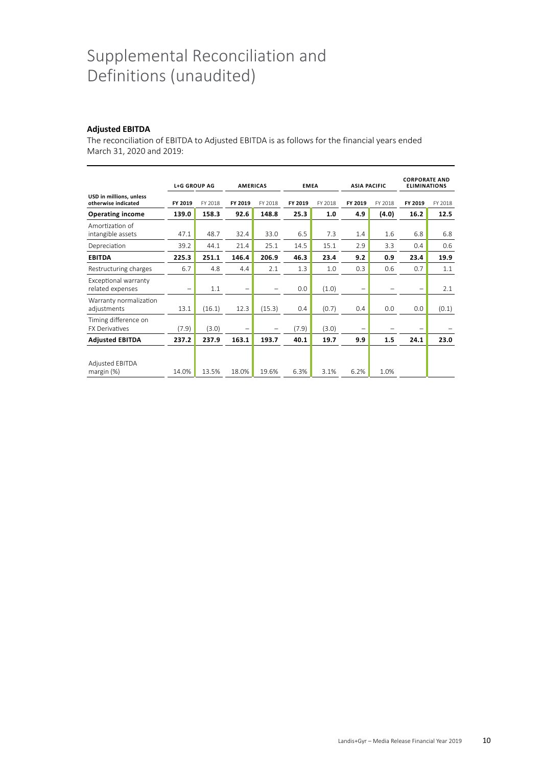## Supplemental Reconciliation and Definitions (unaudited)

#### **Adjusted EBITDA**

The reconciliation of EBITDA to Adjusted EBITDA is as follows for the financial years ended March 31, 2020 and 2019:

|                                                | <b>L+G GROUP AG</b>      |         | <b>AMERICAS</b>          |         | <b>EMEA</b> |         | <b>ASIA PACIFIC</b> |         | <b>CORPORATE AND</b><br><b>ELIMINATIONS</b> |         |
|------------------------------------------------|--------------------------|---------|--------------------------|---------|-------------|---------|---------------------|---------|---------------------------------------------|---------|
| USD in millions, unless<br>otherwise indicated | FY 2019                  | FY 2018 | FY 2019                  | FY 2018 | FY 2019     | FY 2018 | FY 2019             | FY 2018 | FY 2019                                     | FY 2018 |
| <b>Operating income</b>                        | 139.0                    | 158.3   | 92.6                     | 148.8   | 25.3        | 1.0     | 4.9                 | (4.0)   | 16.2                                        | 12.5    |
| Amortization of<br>intangible assets           | 47.1                     | 48.7    | 32.4                     | 33.0    | 6.5         | 7.3     | 1.4                 | 1.6     | 6.8                                         | 6.8     |
| Depreciation                                   | 39.2                     | 44.1    | 21.4                     | 25.1    | 14.5        | 15.1    | 2.9                 | 3.3     | 0.4                                         | 0.6     |
| <b>EBITDA</b>                                  | 225.3                    | 251.1   | 146.4                    | 206.9   | 46.3        | 23.4    | 9.2                 | 0.9     | 23.4                                        | 19.9    |
| Restructuring charges                          | 6.7                      | 4.8     | 4.4                      | 2.1     | 1.3         | 1.0     | 0.3                 | 0.6     | 0.7                                         | 1.1     |
| Exceptional warranty<br>related expenses       | $\overline{\phantom{0}}$ | 1.1     | $\overline{\phantom{0}}$ |         | 0.0         | (1.0)   | -                   |         |                                             | 2.1     |
| Warranty normalization<br>adjustments          | 13.1                     | (16.1)  | 12.3                     | (15.3)  | 0.4         | (0.7)   | 0.4                 | 0.0     | 0.0                                         | (0.1)   |
| Timing difference on<br><b>FX Derivatives</b>  | (7.9)                    | (3.0)   | $\overline{\phantom{0}}$ |         | (7.9)       | (3.0)   | $\qquad \qquad -$   |         |                                             |         |
| <b>Adjusted EBITDA</b>                         | 237.2                    | 237.9   | 163.1                    | 193.7   | 40.1        | 19.7    | 9.9                 | 1.5     | 24.1                                        | 23.0    |
| <b>Adjusted EBITDA</b><br>margin $(%)$         | 14.0%                    | 13.5%   | 18.0%                    | 19.6%   | 6.3%        | 3.1%    | 6.2%                | 1.0%    |                                             |         |